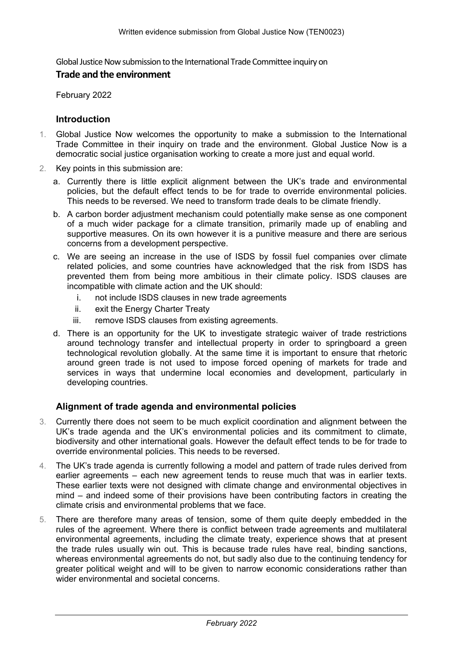Global Justice Now submission to the International Trade Committee inquiry on

## **Trade and the environment**

February 2022

#### **Introduction**

- 1. Global Justice Now welcomes the opportunity to make a submission to the International Trade Committee in their inquiry on trade and the environment. Global Justice Now is a democratic social justice organisation working to create a more just and equal world.
- 2. Key points in this submission are:
	- a. Currently there is little explicit alignment between the UK's trade and environmental policies, but the default effect tends to be for trade to override environmental policies. This needs to be reversed. We need to transform trade deals to be climate friendly.
	- b. A carbon border adjustment mechanism could potentially make sense as one component of a much wider package for a climate transition, primarily made up of enabling and supportive measures. On its own however it is a punitive measure and there are serious concerns from a development perspective.
	- c. We are seeing an increase in the use of ISDS by fossil fuel companies over climate related policies, and some countries have acknowledged that the risk from ISDS has prevented them from being more ambitious in their climate policy. ISDS clauses are incompatible with climate action and the UK should:
		- i. not include ISDS clauses in new trade agreements
		- ii. exit the Energy Charter Treaty
		- iii. remove ISDS clauses from existing agreements.
	- d. There is an opportunity for the UK to investigate strategic waiver of trade restrictions around technology transfer and intellectual property in order to springboard a green technological revolution globally. At the same time it is important to ensure that rhetoric around green trade is not used to impose forced opening of markets for trade and services in ways that undermine local economies and development, particularly in developing countries.

## **Alignment of trade agenda and environmental policies**

- 3. Currently there does not seem to be much explicit coordination and alignment between the UK's trade agenda and the UK's environmental policies and its commitment to climate, biodiversity and other international goals. However the default effect tends to be for trade to override environmental policies. This needs to be reversed.
- 4. The UK's trade agenda is currently following a model and pattern of trade rules derived from earlier agreements – each new agreement tends to reuse much that was in earlier texts. These earlier texts were not designed with climate change and environmental objectives in mind – and indeed some of their provisions have been contributing factors in creating the climate crisis and environmental problems that we face.
- 5. There are therefore many areas of tension, some of them quite deeply embedded in the rules of the agreement. Where there is conflict between trade agreements and multilateral environmental agreements, including the climate treaty, experience shows that at present the trade rules usually win out. This is because trade rules have real, binding sanctions, whereas environmental agreements do not, but sadly also due to the continuing tendency for greater political weight and will to be given to narrow economic considerations rather than wider environmental and societal concerns.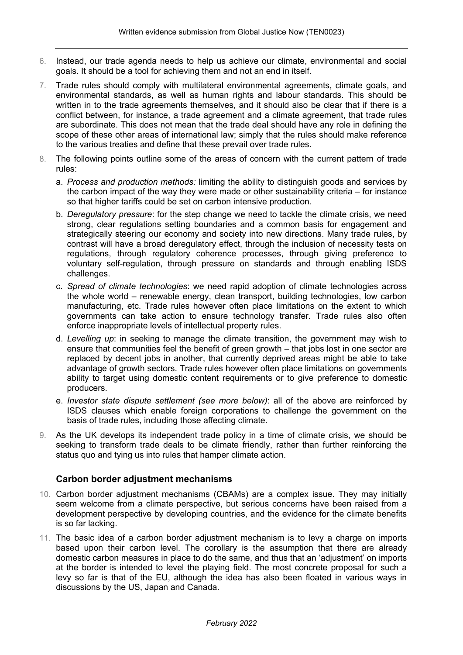- 6. Instead, our trade agenda needs to help us achieve our climate, environmental and social goals. It should be a tool for achieving them and not an end in itself.
- 7. Trade rules should comply with multilateral environmental agreements, climate goals, and environmental standards, as well as human rights and labour standards. This should be written in to the trade agreements themselves, and it should also be clear that if there is a conflict between, for instance, a trade agreement and a climate agreement, that trade rules are subordinate. This does not mean that the trade deal should have any role in defining the scope of these other areas of international law; simply that the rules should make reference to the various treaties and define that these prevail over trade rules.
- 8. The following points outline some of the areas of concern with the current pattern of trade rules:
	- a. *Process and production methods:* limiting the ability to distinguish goods and services by the carbon impact of the way they were made or other sustainability criteria – for instance so that higher tariffs could be set on carbon intensive production.
	- b. *Deregulatory pressure*: for the step change we need to tackle the climate crisis, we need strong, clear regulations setting boundaries and a common basis for engagement and strategically steering our economy and society into new directions. Many trade rules, by contrast will have a broad deregulatory effect, through the inclusion of necessity tests on regulations, through regulatory coherence processes, through giving preference to voluntary self-regulation, through pressure on standards and through enabling ISDS challenges.
	- c. *Spread of climate technologies*: we need rapid adoption of climate technologies across the whole world – renewable energy, clean transport, building technologies, low carbon manufacturing, etc. Trade rules however often place limitations on the extent to which governments can take action to ensure technology transfer. Trade rules also often enforce inappropriate levels of intellectual property rules.
	- d. *Levelling up*: in seeking to manage the climate transition, the government may wish to ensure that communities feel the benefit of green growth – that jobs lost in one sector are replaced by decent jobs in another, that currently deprived areas might be able to take advantage of growth sectors. Trade rules however often place limitations on governments ability to target using domestic content requirements or to give preference to domestic producers.
	- e. *Investor state dispute settlement (see more below)*: all of the above are reinforced by ISDS clauses which enable foreign corporations to challenge the government on the basis of trade rules, including those affecting climate.
- 9. As the UK develops its independent trade policy in a time of climate crisis, we should be seeking to transform trade deals to be climate friendly, rather than further reinforcing the status quo and tying us into rules that hamper climate action.

## **Carbon border adjustment mechanisms**

- 10. Carbon border adjustment mechanisms (CBAMs) are a complex issue. They may initially seem welcome from a climate perspective, but serious concerns have been raised from a development perspective by developing countries, and the evidence for the climate benefits is so far lacking.
- 11. The basic idea of a carbon border adjustment mechanism is to levy a charge on imports based upon their carbon level. The corollary is the assumption that there are already domestic carbon measures in place to do the same, and thus that an 'adjustment' on imports at the border is intended to level the playing field. The most concrete proposal for such a levy so far is that of the EU, although the idea has also been floated in various ways in discussions by the US, Japan and Canada.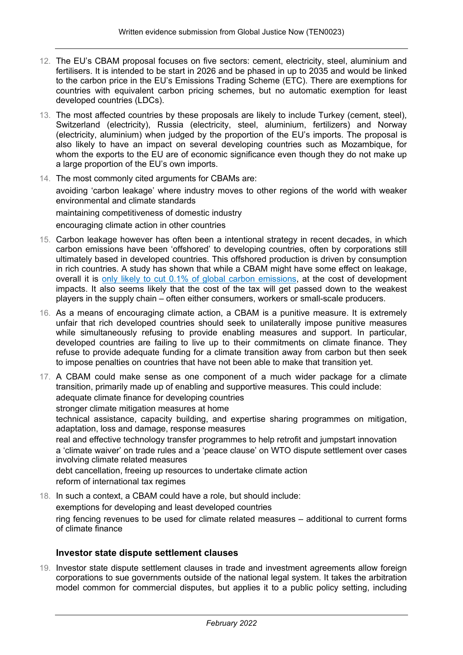- 12. The EU's CBAM proposal focuses on five sectors: cement, electricity, steel, aluminium and fertilisers. It is intended to be start in 2026 and be phased in up to 2035 and would be linked to the carbon price in the EU's Emissions Trading Scheme (ETC). There are exemptions for countries with equivalent carbon pricing schemes, but no automatic exemption for least developed countries (LDCs).
- 13. The most affected countries by these proposals are likely to include Turkey (cement, steel), Switzerland (electricity), Russia (electricity, steel, aluminium, fertilizers) and Norway (electricity, aluminium) when judged by the proportion of the EU's imports. The proposal is also likely to have an impact on several developing countries such as Mozambique, for whom the exports to the EU are of economic significance even though they do not make up a large proportion of the EU's own imports.
- 14. The most commonly cited arguments for CBAMs are: avoiding 'carbon leakage' where industry moves to other regions of the world with weaker environmental and climate standards maintaining competitiveness of domestic industry encouraging climate action in other countries
- 15. Carbon leakage however has often been a intentional strategy in recent decades, in which carbon emissions have been 'offshored' to developing countries, often by corporations still ultimately based in developed countries. This offshored production is driven by consumption in rich countries. A study has shown that while a CBAM might have some effect on leakage, overall it is [only](https://unctad.org/news/eu-should-consider-trade-impacts-new-climate-change-mechanism) [likely](https://unctad.org/news/eu-should-consider-trade-impacts-new-climate-change-mechanism) [to](https://unctad.org/news/eu-should-consider-trade-impacts-new-climate-change-mechanism) [cut](https://unctad.org/news/eu-should-consider-trade-impacts-new-climate-change-mechanism) [0.1%](https://unctad.org/news/eu-should-consider-trade-impacts-new-climate-change-mechanism) [of](https://unctad.org/news/eu-should-consider-trade-impacts-new-climate-change-mechanism) [global](https://unctad.org/news/eu-should-consider-trade-impacts-new-climate-change-mechanism) [carbon](https://unctad.org/news/eu-should-consider-trade-impacts-new-climate-change-mechanism) [emissions](https://unctad.org/news/eu-should-consider-trade-impacts-new-climate-change-mechanism), at the cost of development impacts. It also seems likely that the cost of the tax will get passed down to the weakest players in the supply chain – often either consumers, workers or small-scale producers.
- 16. As a means of encouraging climate action, a CBAM is a punitive measure. It is extremely unfair that rich developed countries should seek to unilaterally impose punitive measures while simultaneously refusing to provide enabling measures and support. In particular, developed countries are failing to live up to their commitments on climate finance. They refuse to provide adequate funding for a climate transition away from carbon but then seek to impose penalties on countries that have not been able to make that transition yet.
- 17. A CBAM could make sense as one component of a much wider package for a climate transition, primarily made up of enabling and supportive measures. This could include: adequate climate finance for developing countries stronger climate mitigation measures at home technical assistance, capacity building, and expertise sharing programmes on mitigation, adaptation, loss and damage, response measures real and effective technology transfer programmes to help retrofit and jumpstart innovation a 'climate waiver' on trade rules and a 'peace clause' on WTO dispute settlement over cases involving climate related measures debt cancellation, freeing up resources to undertake climate action reform of international tax regimes
- 18. In such a context, a CBAM could have a role, but should include: exemptions for developing and least developed countries ring fencing revenues to be used for climate related measures – additional to current forms of climate finance

## **Investor state dispute settlement clauses**

19. Investor state dispute settlement clauses in trade and investment agreements allow foreign corporations to sue governments outside of the national legal system. It takes the arbitration model common for commercial disputes, but applies it to a public policy setting, including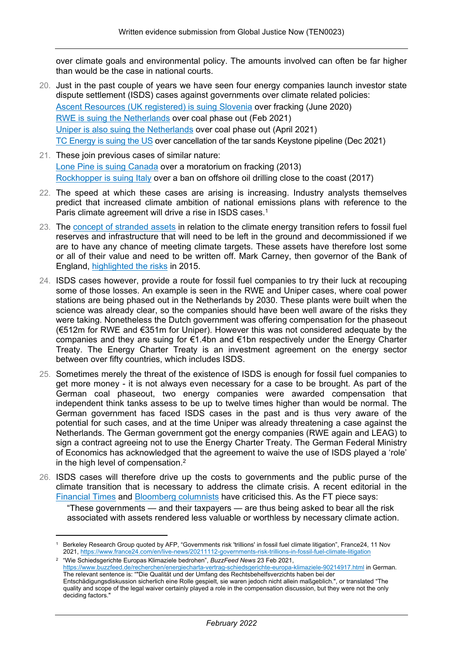over climate goals and environmental policy. The amounts involved can often be far higher than would be the case in national courts.

- 20. Just in the past couple of years we have seen four energy companies launch investor state dispute settlement (ISDS) cases against governments over climate related policies: [Ascent](https://www.italaw.com/cases/8289) [Resources](https://www.italaw.com/cases/8289) [\(UK](https://www.italaw.com/cases/8289) [registered\)](https://www.italaw.com/cases/8289) [is](https://www.italaw.com/cases/8289) [suing](https://www.italaw.com/cases/8289) [Slovenia](https://www.italaw.com/cases/8289) over fracking (June 2020) [RWE](https://icsid.worldbank.org/cases/case-database/case-detail?CaseNo=ARB/21/4) [is](https://icsid.worldbank.org/cases/case-database/case-detail?CaseNo=ARB/21/4) [suing](https://icsid.worldbank.org/cases/case-database/case-detail?CaseNo=ARB/21/4) [the](https://icsid.worldbank.org/cases/case-database/case-detail?CaseNo=ARB/21/4) [Netherlands](https://icsid.worldbank.org/cases/case-database/case-detail?CaseNo=ARB/21/4) over coal phase out (Feb 2021) [Uniper](https://icsid.worldbank.org/cases/case-database/case-detail?CaseNo=ARB/21/22) [is](https://icsid.worldbank.org/cases/case-database/case-detail?CaseNo=ARB/21/22) [also](https://icsid.worldbank.org/cases/case-database/case-detail?CaseNo=ARB/21/22) [suing](https://icsid.worldbank.org/cases/case-database/case-detail?CaseNo=ARB/21/22) [the](https://icsid.worldbank.org/cases/case-database/case-detail?CaseNo=ARB/21/22) [Netherlands](https://icsid.worldbank.org/cases/case-database/case-detail?CaseNo=ARB/21/22) over coal phase out (April 2021) T[C](https://icsid.worldbank.org/cases/case-database/case-detail?CaseNo=ARB/21/63) Energy [is](https://icsid.worldbank.org/cases/case-database/case-detail?CaseNo=ARB/21/63) suin[g](https://icsid.worldbank.org/cases/case-database/case-detail?CaseNo=ARB/21/63) the [U](https://icsid.worldbank.org/cases/case-database/case-detail?CaseNo=ARB/21/63)S over cancellation of the tar sands Keystone pipeline (Dec 2021)
- 21. These join previous cases of similar nature: [Lone](https://investmentpolicy.unctad.org/investment-dispute-settlement/cases/547/lone-pine-v-canada) [Pine](https://investmentpolicy.unctad.org/investment-dispute-settlement/cases/547/lone-pine-v-canada) [is](https://investmentpolicy.unctad.org/investment-dispute-settlement/cases/547/lone-pine-v-canada) [suing](https://investmentpolicy.unctad.org/investment-dispute-settlement/cases/547/lone-pine-v-canada) [Canada](https://investmentpolicy.unctad.org/investment-dispute-settlement/cases/547/lone-pine-v-canada) over a moratorium on fracking (2013) [Rockhopper](https://investmentpolicy.unctad.org/investment-dispute-settlement/cases/800/rockhopper-v-italy) [is](https://investmentpolicy.unctad.org/investment-dispute-settlement/cases/800/rockhopper-v-italy) [suing](https://investmentpolicy.unctad.org/investment-dispute-settlement/cases/800/rockhopper-v-italy) [Italy](https://investmentpolicy.unctad.org/investment-dispute-settlement/cases/800/rockhopper-v-italy) over a ban on offshore oil drilling close to the coast (2017)
- 22. The speed at which these cases are arising is increasing. Industry analysts themselves predict that increased climate ambition of national emissions plans with reference to the Paris climate agreement will drive a rise in ISDS cases.<sup>1</sup>
- 23. The [concept](https://carbontracker.org/terms/stranded-assets/) [of](https://carbontracker.org/terms/stranded-assets/) [stranded](https://carbontracker.org/terms/stranded-assets/) [assets](https://carbontracker.org/terms/stranded-assets/) in relation to the climate energy transition refers to fossil fuel reserves and infrastructure that will need to be left in the ground and decommissioned if we are to have any chance of meeting climate targets. These assets have therefore lost some or all of their value and need to be written off. Mark Carney, then governor of the Bank of England, [highlighted](https://www.bankofengland.co.uk/-/media/boe/files/speech/2015/breaking-the-tragedy-of-the-horizon-climate-change-and-financial-stability.pdf?la=en&hash=7C67E785651862457D99511147C7424FF5EA0C1A) [the](https://www.bankofengland.co.uk/-/media/boe/files/speech/2015/breaking-the-tragedy-of-the-horizon-climate-change-and-financial-stability.pdf?la=en&hash=7C67E785651862457D99511147C7424FF5EA0C1A) [risks](https://www.bankofengland.co.uk/-/media/boe/files/speech/2015/breaking-the-tragedy-of-the-horizon-climate-change-and-financial-stability.pdf?la=en&hash=7C67E785651862457D99511147C7424FF5EA0C1A) in 2015.
- 24. ISDS cases however, provide a route for fossil fuel companies to try their luck at recouping some of those losses. An example is seen in the RWE and Uniper cases, where coal power stations are being phased out in the Netherlands by 2030. These plants were built when the science was already clear, so the companies should have been well aware of the risks they were taking. Nonetheless the Dutch government was offering compensation for the phaseout (€512m for RWE and €351m for Uniper). However this was not considered adequate by the companies and they are suing for €1.4bn and €1bn respectively under the Energy Charter Treaty. The Energy Charter Treaty is an investment agreement on the energy sector between over fifty countries, which includes ISDS.
- 25. Sometimes merely the threat of the existence of ISDS is enough for fossil fuel companies to get more money - it is not always even necessary for a case to be brought. As part of the German coal phaseout, two energy companies were awarded compensation that independent think tanks assess to be up to twelve times higher than would be normal. The German government has faced ISDS cases in the past and is thus very aware of the potential for such cases, and at the time Uniper was already threatening a case against the Netherlands. The German government got the energy companies (RWE again and LEAG) to sign a contract agreeing not to use the Energy Charter Treaty. The German Federal Ministry of Economics has acknowledged that the agreement to waive the use of ISDS played a 'role' in the high level of compensation.<sup>2</sup>
- 26. ISDS cases will therefore drive up the costs to governments and the public purse of the climate transition that is necessary to address the climate crisis. A recent editorial in the [Financial](https://www.ft.com/content/6e480f92-894a-494e-90ee-c60d20ce22f9) [Times](https://www.ft.com/content/6e480f92-894a-494e-90ee-c60d20ce22f9) and [Bloomberg](https://www.bloomberg.com/news/articles/2021-10-01/how-the-finance-world-started-turning-against-fossil-fuels) [columnists](https://www.bloomberg.com/news/articles/2021-10-01/how-the-finance-world-started-turning-against-fossil-fuels) have criticised this. As the FT piece says:

"These governments — and their taxpayers — are thus being asked to bear all the risk associated with assets rendered less valuable or worthless by necessary climate action.

2 "Wie Schiedsgerichte Europas Klimaziele bedrohen", *BuzzFeed News* 23 Feb 2021,

<sup>1</sup> Berkeley Research Group quoted by AFP, "Governments risk 'trillions' in fossil fuel climate litigation", France24, 11 Nov 2021, <https://www.france24.com/en/live-news/20211112-governments-risk-trillions-in-fossil-fuel-climate-litigation>

<https://www.buzzfeed.de/recherchen/energiecharta-vertrag-schiedsgerichte-europa-klimaziele-90214917.html> in German. The relevant sentence is: ""Die Qualität und der Umfang des Rechtsbehelfsverzichts haben bei der Entschädigungsdiskussion sicherlich eine Rolle gespielt, sie waren jedoch nicht allein maßgeblich.", or translated "The quality and scope of the legal waiver certainly played a role in the compensation discussion, but they were not the only deciding factors."